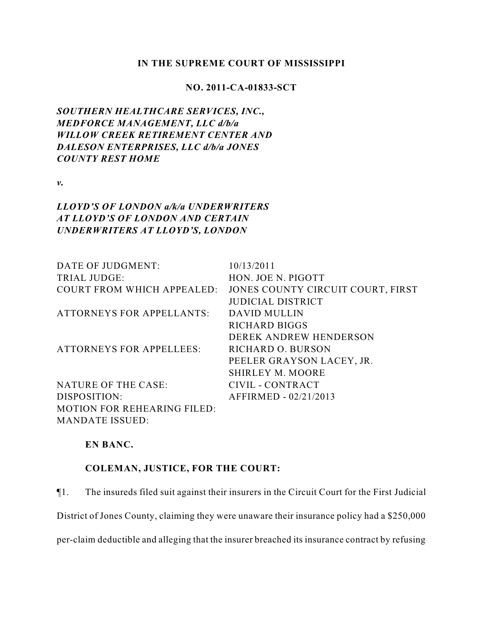### **IN THE SUPREME COURT OF MISSISSIPPI**

## **NO. 2011-CA-01833-SCT**

*SOUTHERN HEALTHCARE SERVICES, INC., MEDFORCE MANAGEMENT, LLC d/b/a WILLOW CREEK RETIREMENT CENTER AND DALESON ENTERPRISES, LLC d/b/a JONES COUNTY REST HOME*

*v.*

# *LLOYD'S OF LONDON a/k/a UNDERWRITERS AT LLOYD'S OF LONDON AND CERTAIN UNDERWRITERS AT LLOYD'S, LONDON*

| DATE OF JUDGMENT:                  | 10/13/2011                        |
|------------------------------------|-----------------------------------|
| <b>TRIAL JUDGE:</b>                | HON. JOE N. PIGOTT                |
| <b>COURT FROM WHICH APPEALED:</b>  | JONES COUNTY CIRCUIT COURT, FIRST |
|                                    | <b>JUDICIAL DISTRICT</b>          |
| <b>ATTORNEYS FOR APPELLANTS:</b>   | <b>DAVID MULLIN</b>               |
|                                    | <b>RICHARD BIGGS</b>              |
|                                    | DEREK ANDREW HENDERSON            |
| <b>ATTORNEYS FOR APPELLEES:</b>    | <b>RICHARD O. BURSON</b>          |
|                                    | PEELER GRAYSON LACEY, JR.         |
|                                    | <b>SHIRLEY M. MOORE</b>           |
| NATURE OF THE CASE:                | CIVIL - CONTRACT                  |
| DISPOSITION:                       | AFFIRMED - 02/21/2013             |
| <b>MOTION FOR REHEARING FILED:</b> |                                   |
| <b>MANDATE ISSUED:</b>             |                                   |

## **EN BANC.**

# **COLEMAN, JUSTICE, FOR THE COURT:**

¶1. The insureds filed suit against their insurers in the Circuit Court for the First Judicial

District of Jones County, claiming they were unaware their insurance policy had a \$250,000

per-claim deductible and alleging that the insurer breached its insurance contract by refusing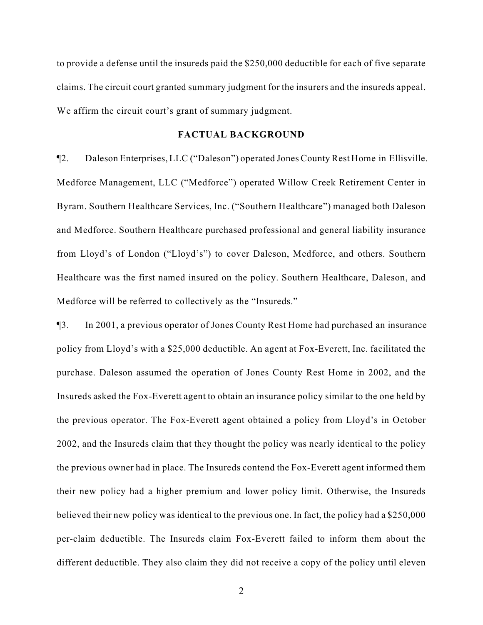to provide a defense until the insureds paid the \$250,000 deductible for each of five separate claims. The circuit court granted summary judgment for the insurers and the insureds appeal. We affirm the circuit court's grant of summary judgment.

### **FACTUAL BACKGROUND**

¶2. Daleson Enterprises, LLC ("Daleson") operated Jones County Rest Home in Ellisville. Medforce Management, LLC ("Medforce") operated Willow Creek Retirement Center in Byram. Southern Healthcare Services, Inc. ("Southern Healthcare") managed both Daleson and Medforce. Southern Healthcare purchased professional and general liability insurance from Lloyd's of London ("Lloyd's") to cover Daleson, Medforce, and others. Southern Healthcare was the first named insured on the policy. Southern Healthcare, Daleson, and Medforce will be referred to collectively as the "Insureds."

¶3. In 2001, a previous operator of Jones County Rest Home had purchased an insurance policy from Lloyd's with a \$25,000 deductible. An agent at Fox-Everett, Inc. facilitated the purchase. Daleson assumed the operation of Jones County Rest Home in 2002, and the Insureds asked the Fox-Everett agent to obtain an insurance policy similar to the one held by the previous operator. The Fox-Everett agent obtained a policy from Lloyd's in October 2002, and the Insureds claim that they thought the policy was nearly identical to the policy the previous owner had in place. The Insureds contend the Fox-Everett agent informed them their new policy had a higher premium and lower policy limit. Otherwise, the Insureds believed their new policy was identical to the previous one. In fact, the policy had a \$250,000 per-claim deductible. The Insureds claim Fox-Everett failed to inform them about the different deductible. They also claim they did not receive a copy of the policy until eleven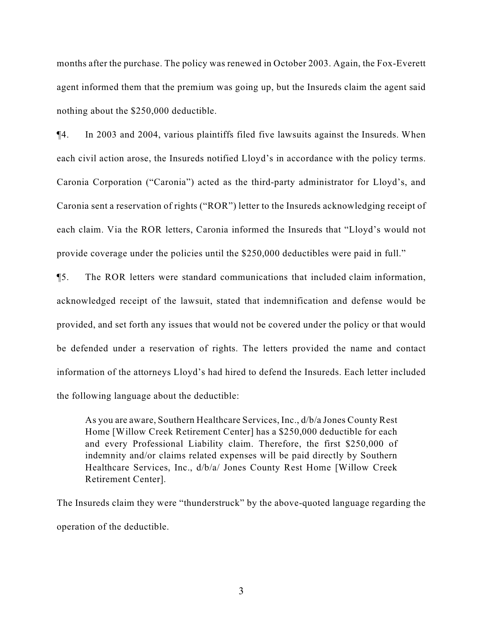months after the purchase. The policy was renewed in October 2003. Again, the Fox-Everett agent informed them that the premium was going up, but the Insureds claim the agent said nothing about the \$250,000 deductible.

¶4. In 2003 and 2004, various plaintiffs filed five lawsuits against the Insureds. When each civil action arose, the Insureds notified Lloyd's in accordance with the policy terms. Caronia Corporation ("Caronia") acted as the third-party administrator for Lloyd's, and Caronia sent a reservation of rights ("ROR") letter to the Insureds acknowledging receipt of each claim. Via the ROR letters, Caronia informed the Insureds that "Lloyd's would not provide coverage under the policies until the \$250,000 deductibles were paid in full."

¶5. The ROR letters were standard communications that included claim information, acknowledged receipt of the lawsuit, stated that indemnification and defense would be provided, and set forth any issues that would not be covered under the policy or that would be defended under a reservation of rights. The letters provided the name and contact information of the attorneys Lloyd's had hired to defend the Insureds. Each letter included the following language about the deductible:

As you are aware, Southern Healthcare Services, Inc., d/b/a Jones County Rest Home [Willow Creek Retirement Center] has a \$250,000 deductible for each and every Professional Liability claim. Therefore, the first \$250,000 of indemnity and/or claims related expenses will be paid directly by Southern Healthcare Services, Inc., d/b/a/ Jones County Rest Home [Willow Creek Retirement Center].

The Insureds claim they were "thunderstruck" by the above-quoted language regarding the operation of the deductible.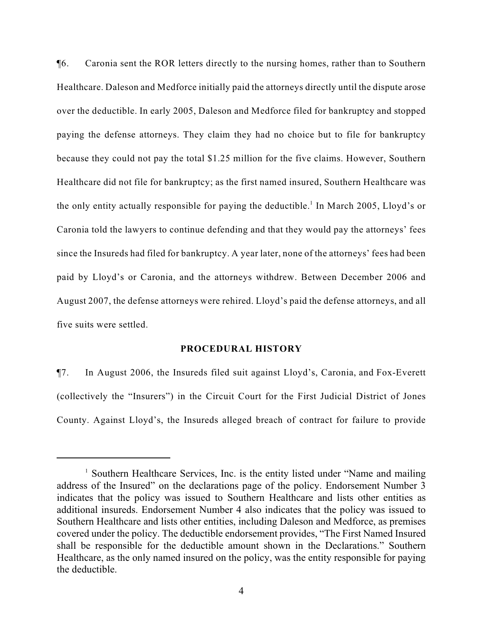¶6. Caronia sent the ROR letters directly to the nursing homes, rather than to Southern Healthcare. Daleson and Medforce initially paid the attorneys directly until the dispute arose over the deductible. In early 2005, Daleson and Medforce filed for bankruptcy and stopped paying the defense attorneys. They claim they had no choice but to file for bankruptcy because they could not pay the total \$1.25 million for the five claims. However, Southern Healthcare did not file for bankruptcy; as the first named insured, Southern Healthcare was the only entity actually responsible for paying the deductible.<sup>1</sup> In March 2005, Lloyd's or Caronia told the lawyers to continue defending and that they would pay the attorneys' fees since the Insureds had filed for bankruptcy. A year later, none of the attorneys' fees had been paid by Lloyd's or Caronia, and the attorneys withdrew. Between December 2006 and August 2007, the defense attorneys were rehired. Lloyd's paid the defense attorneys, and all five suits were settled.

#### **PROCEDURAL HISTORY**

¶7. In August 2006, the Insureds filed suit against Lloyd's, Caronia, and Fox-Everett (collectively the "Insurers") in the Circuit Court for the First Judicial District of Jones County. Against Lloyd's, the Insureds alleged breach of contract for failure to provide

 $<sup>1</sup>$  Southern Healthcare Services, Inc. is the entity listed under "Name and mailing</sup> address of the Insured" on the declarations page of the policy. Endorsement Number 3 indicates that the policy was issued to Southern Healthcare and lists other entities as additional insureds. Endorsement Number 4 also indicates that the policy was issued to Southern Healthcare and lists other entities, including Daleson and Medforce, as premises covered under the policy. The deductible endorsement provides, "The First Named Insured shall be responsible for the deductible amount shown in the Declarations." Southern Healthcare, as the only named insured on the policy, was the entity responsible for paying the deductible.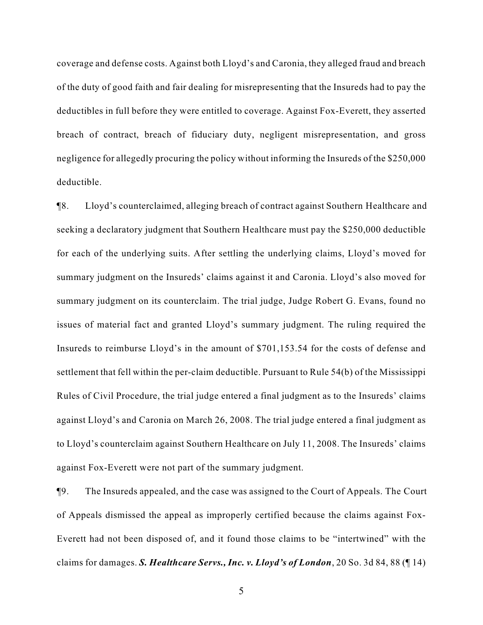coverage and defense costs. Against both Lloyd's and Caronia, they alleged fraud and breach of the duty of good faith and fair dealing for misrepresenting that the Insureds had to pay the deductibles in full before they were entitled to coverage. Against Fox-Everett, they asserted breach of contract, breach of fiduciary duty, negligent misrepresentation, and gross negligence for allegedly procuring the policy without informing the Insureds of the \$250,000 deductible.

¶8. Lloyd's counterclaimed, alleging breach of contract against Southern Healthcare and seeking a declaratory judgment that Southern Healthcare must pay the \$250,000 deductible for each of the underlying suits. After settling the underlying claims, Lloyd's moved for summary judgment on the Insureds' claims against it and Caronia. Lloyd's also moved for summary judgment on its counterclaim. The trial judge, Judge Robert G. Evans, found no issues of material fact and granted Lloyd's summary judgment. The ruling required the Insureds to reimburse Lloyd's in the amount of \$701,153.54 for the costs of defense and settlement that fell within the per-claim deductible. Pursuant to Rule 54(b) of the Mississippi Rules of Civil Procedure, the trial judge entered a final judgment as to the Insureds' claims against Lloyd's and Caronia on March 26, 2008. The trial judge entered a final judgment as to Lloyd's counterclaim against Southern Healthcare on July 11, 2008. The Insureds' claims against Fox-Everett were not part of the summary judgment.

¶9. The Insureds appealed, and the case was assigned to the Court of Appeals. The Court of Appeals dismissed the appeal as improperly certified because the claims against Fox-Everett had not been disposed of, and it found those claims to be "intertwined" with the claims for damages. *S. Healthcare Servs., Inc. v. Lloyd's of London*, 20 So. 3d 84, 88 (¶ 14)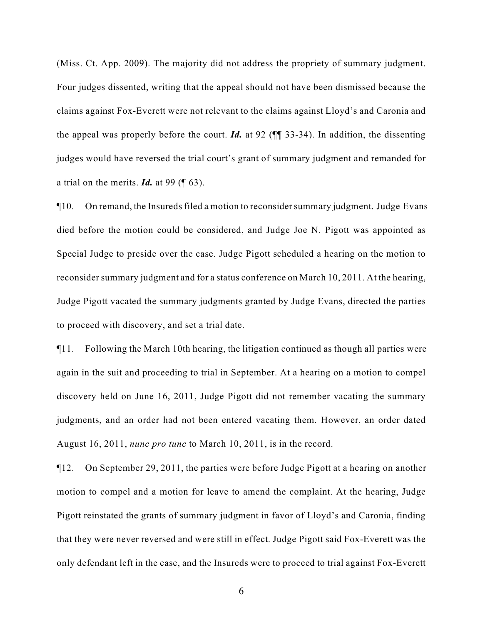(Miss. Ct. App. 2009). The majority did not address the propriety of summary judgment. Four judges dissented, writing that the appeal should not have been dismissed because the claims against Fox-Everett were not relevant to the claims against Lloyd's and Caronia and the appeal was properly before the court. *Id.* at 92 (¶¶ 33-34). In addition, the dissenting judges would have reversed the trial court's grant of summary judgment and remanded for a trial on the merits. *Id.* at 99 (¶ 63).

¶10. On remand, the Insureds filed a motion to reconsider summary judgment. Judge Evans died before the motion could be considered, and Judge Joe N. Pigott was appointed as Special Judge to preside over the case. Judge Pigott scheduled a hearing on the motion to reconsider summary judgment and for a status conference on March 10, 2011. At the hearing, Judge Pigott vacated the summary judgments granted by Judge Evans, directed the parties to proceed with discovery, and set a trial date.

¶11. Following the March 10th hearing, the litigation continued as though all parties were again in the suit and proceeding to trial in September. At a hearing on a motion to compel discovery held on June 16, 2011, Judge Pigott did not remember vacating the summary judgments, and an order had not been entered vacating them. However, an order dated August 16, 2011, *nunc pro tunc* to March 10, 2011, is in the record.

¶12. On September 29, 2011, the parties were before Judge Pigott at a hearing on another motion to compel and a motion for leave to amend the complaint. At the hearing, Judge Pigott reinstated the grants of summary judgment in favor of Lloyd's and Caronia, finding that they were never reversed and were still in effect. Judge Pigott said Fox-Everett was the only defendant left in the case, and the Insureds were to proceed to trial against Fox-Everett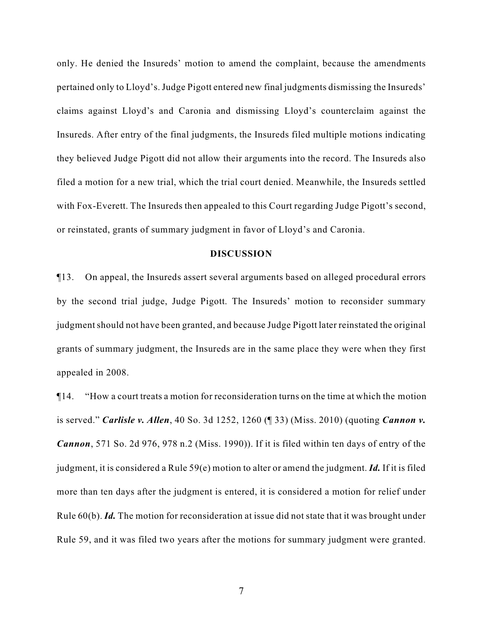only. He denied the Insureds' motion to amend the complaint, because the amendments pertained only to Lloyd's. Judge Pigott entered new final judgments dismissing the Insureds' claims against Lloyd's and Caronia and dismissing Lloyd's counterclaim against the Insureds. After entry of the final judgments, the Insureds filed multiple motions indicating they believed Judge Pigott did not allow their arguments into the record. The Insureds also filed a motion for a new trial, which the trial court denied. Meanwhile, the Insureds settled with Fox-Everett. The Insureds then appealed to this Court regarding Judge Pigott's second, or reinstated, grants of summary judgment in favor of Lloyd's and Caronia.

### **DISCUSSION**

¶13. On appeal, the Insureds assert several arguments based on alleged procedural errors by the second trial judge, Judge Pigott. The Insureds' motion to reconsider summary judgment should not have been granted, and because Judge Pigott later reinstated the original grants of summary judgment, the Insureds are in the same place they were when they first appealed in 2008.

¶14. "How a court treats a motion for reconsideration turns on the time at which the motion is served." *Carlisle v. Allen*, 40 So. 3d 1252, 1260 (¶ 33) (Miss. 2010) (quoting *Cannon v. Cannon*, 571 So. 2d 976, 978 n.2 (Miss. 1990)). If it is filed within ten days of entry of the judgment, it is considered a Rule 59(e) motion to alter or amend the judgment. *Id.* If it is filed more than ten days after the judgment is entered, it is considered a motion for relief under Rule 60(b). *Id.* The motion for reconsideration at issue did not state that it was brought under Rule 59, and it was filed two years after the motions for summary judgment were granted.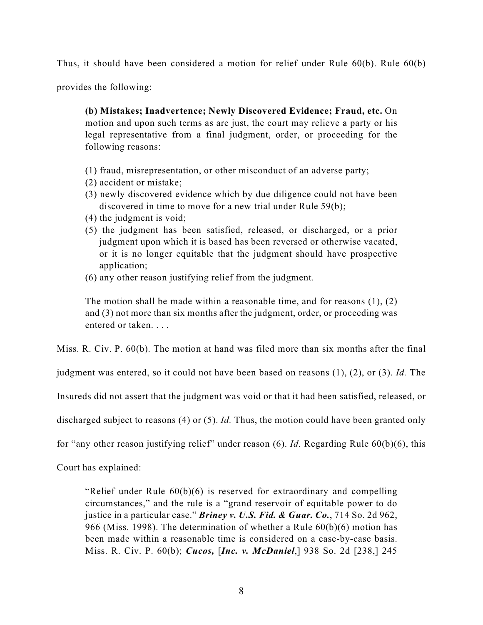Thus, it should have been considered a motion for relief under Rule 60(b). Rule 60(b)

provides the following:

**(b) Mistakes; Inadvertence; Newly Discovered Evidence; Fraud, etc.** On motion and upon such terms as are just, the court may relieve a party or his legal representative from a final judgment, order, or proceeding for the following reasons:

- (1) fraud, misrepresentation, or other misconduct of an adverse party;
- (2) accident or mistake;
- (3) newly discovered evidence which by due diligence could not have been discovered in time to move for a new trial under Rule 59(b);
- (4) the judgment is void;
- (5) the judgment has been satisfied, released, or discharged, or a prior judgment upon which it is based has been reversed or otherwise vacated, or it is no longer equitable that the judgment should have prospective application;
- (6) any other reason justifying relief from the judgment.

The motion shall be made within a reasonable time, and for reasons  $(1)$ ,  $(2)$ and (3) not more than six months after the judgment, order, or proceeding was entered or taken. . . .

Miss. R. Civ. P. 60(b). The motion at hand was filed more than six months after the final

judgment was entered, so it could not have been based on reasons (1), (2), or (3). *Id.* The

Insureds did not assert that the judgment was void or that it had been satisfied, released, or

discharged subject to reasons (4) or (5). *Id.* Thus, the motion could have been granted only

for "any other reason justifying relief" under reason (6). *Id.* Regarding Rule 60(b)(6), this

Court has explained:

"Relief under Rule 60(b)(6) is reserved for extraordinary and compelling circumstances," and the rule is a "grand reservoir of equitable power to do justice in a particular case." *Briney v. U.S. Fid. & Guar. Co.*, 714 So. 2d 962, 966 (Miss. 1998). The determination of whether a Rule 60(b)(6) motion has been made within a reasonable time is considered on a case-by-case basis. Miss. R. Civ. P. 60(b); *Cucos,* [*Inc. v. McDaniel*,] 938 So. 2d [238,] 245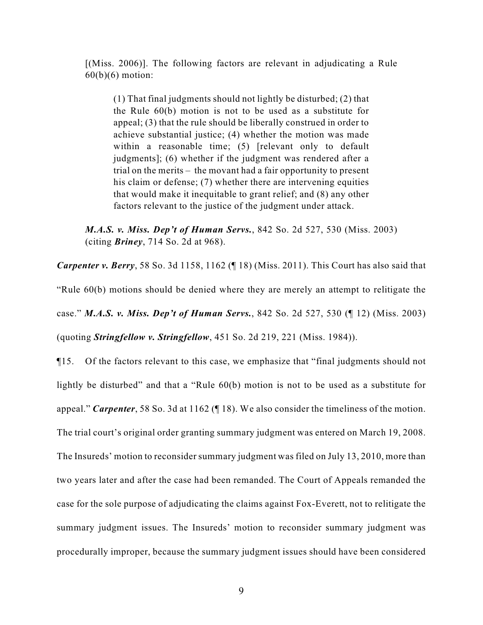[(Miss. 2006)]. The following factors are relevant in adjudicating a Rule  $60(b)(6)$  motion:

(1) That final judgments should not lightly be disturbed; (2) that the Rule 60(b) motion is not to be used as a substitute for appeal; (3) that the rule should be liberally construed in order to achieve substantial justice; (4) whether the motion was made within a reasonable time; (5) [relevant only to default judgments]; (6) whether if the judgment was rendered after a trial on the merits – the movant had a fair opportunity to present his claim or defense; (7) whether there are intervening equities that would make it inequitable to grant relief; and (8) any other factors relevant to the justice of the judgment under attack.

*M.A.S. v. Miss. Dep't of Human Servs.*, 842 So. 2d 527, 530 (Miss. 2003) (citing *Briney*, 714 So. 2d at 968).

*Carpenter v. Berry*, 58 So. 3d 1158, 1162 (¶ 18) (Miss. 2011). This Court has also said that "Rule 60(b) motions should be denied where they are merely an attempt to relitigate the case." *M.A.S. v. Miss. Dep't of Human Servs.*, 842 So. 2d 527, 530 (¶ 12) (Miss. 2003) (quoting *Stringfellow v. Stringfellow*, 451 So. 2d 219, 221 (Miss. 1984)).

¶15. Of the factors relevant to this case, we emphasize that "final judgments should not lightly be disturbed" and that a "Rule 60(b) motion is not to be used as a substitute for appeal." *Carpenter*, 58 So. 3d at 1162 (¶ 18). We also consider the timeliness of the motion. The trial court's original order granting summary judgment was entered on March 19, 2008. The Insureds' motion to reconsider summary judgment was filed on July 13, 2010, more than two years later and after the case had been remanded. The Court of Appeals remanded the case for the sole purpose of adjudicating the claims against Fox-Everett, not to relitigate the summary judgment issues. The Insureds' motion to reconsider summary judgment was procedurally improper, because the summary judgment issues should have been considered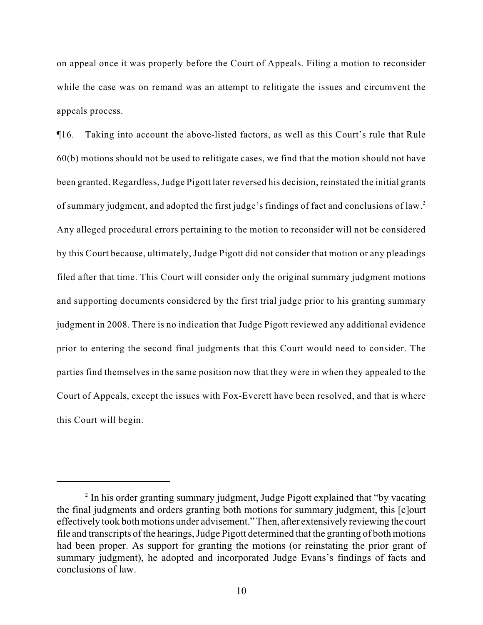on appeal once it was properly before the Court of Appeals. Filing a motion to reconsider while the case was on remand was an attempt to relitigate the issues and circumvent the appeals process.

¶16. Taking into account the above-listed factors, as well as this Court's rule that Rule 60(b) motions should not be used to relitigate cases, we find that the motion should not have been granted. Regardless, Judge Pigott later reversed his decision, reinstated the initial grants of summary judgment, and adopted the first judge's findings of fact and conclusions of law.<sup>2</sup> Any alleged procedural errors pertaining to the motion to reconsider will not be considered by this Court because, ultimately, Judge Pigott did not consider that motion or any pleadings filed after that time. This Court will consider only the original summary judgment motions and supporting documents considered by the first trial judge prior to his granting summary judgment in 2008. There is no indication that Judge Pigott reviewed any additional evidence prior to entering the second final judgments that this Court would need to consider. The parties find themselves in the same position now that they were in when they appealed to the Court of Appeals, except the issues with Fox-Everett have been resolved, and that is where this Court will begin.

<sup>&</sup>lt;sup>2</sup> In his order granting summary judgment, Judge Pigott explained that "by vacating" the final judgments and orders granting both motions for summary judgment, this [c]ourt effectively took both motions under advisement." Then, after extensively reviewing the court file and transcripts of the hearings, Judge Pigott determined that the granting of both motions had been proper. As support for granting the motions (or reinstating the prior grant of summary judgment), he adopted and incorporated Judge Evans's findings of facts and conclusions of law.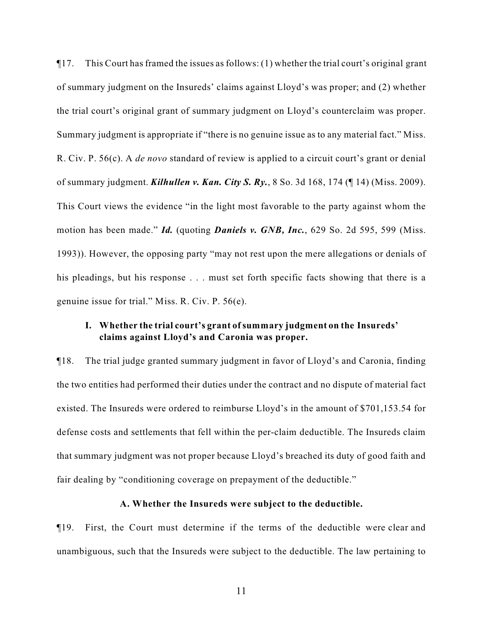¶17. This Court has framed the issues as follows: (1) whether the trial court's original grant of summary judgment on the Insureds' claims against Lloyd's was proper; and (2) whether the trial court's original grant of summary judgment on Lloyd's counterclaim was proper. Summary judgment is appropriate if "there is no genuine issue as to any material fact." Miss. R. Civ. P. 56(c). A *de novo* standard of review is applied to a circuit court's grant or denial of summary judgment. *Kilhullen v. Kan. City S. Ry.*, 8 So. 3d 168, 174 (¶ 14) (Miss. 2009). This Court views the evidence "in the light most favorable to the party against whom the motion has been made." *Id.* (quoting *Daniels v. GNB, Inc.*, 629 So. 2d 595, 599 (Miss. 1993)). However, the opposing party "may not rest upon the mere allegations or denials of his pleadings, but his response . . . must set forth specific facts showing that there is a genuine issue for trial." Miss. R. Civ. P. 56(e).

# **I. Whether the trial court's grant of summary judgment on the Insureds' claims against Lloyd's and Caronia was proper.**

¶18. The trial judge granted summary judgment in favor of Lloyd's and Caronia, finding the two entities had performed their duties under the contract and no dispute of material fact existed. The Insureds were ordered to reimburse Lloyd's in the amount of \$701,153.54 for defense costs and settlements that fell within the per-claim deductible. The Insureds claim that summary judgment was not proper because Lloyd's breached its duty of good faith and fair dealing by "conditioning coverage on prepayment of the deductible."

#### **A. Whether the Insureds were subject to the deductible.**

¶19. First, the Court must determine if the terms of the deductible were clear and unambiguous, such that the Insureds were subject to the deductible. The law pertaining to

11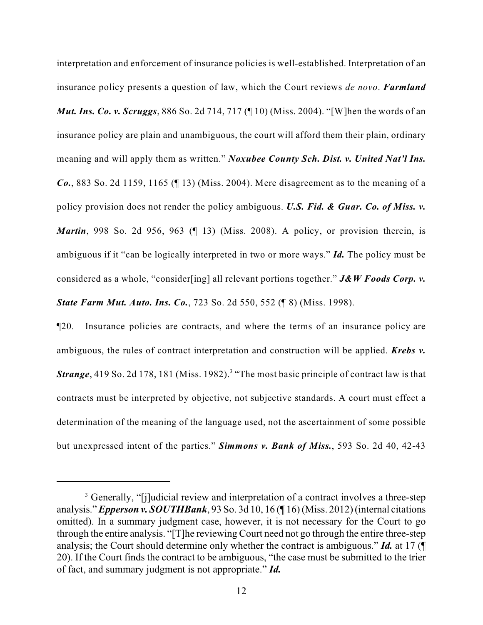interpretation and enforcement of insurance policies is well-established. Interpretation of an insurance policy presents a question of law, which the Court reviews *de novo*. *Farmland Mut. Ins. Co. v. Scruggs*, 886 So. 2d 714, 717 (¶ 10) (Miss. 2004). "[W]hen the words of an insurance policy are plain and unambiguous, the court will afford them their plain, ordinary meaning and will apply them as written." *Noxubee County Sch. Dist. v. United Nat'l Ins. Co.*, 883 So. 2d 1159, 1165 (¶ 13) (Miss. 2004). Mere disagreement as to the meaning of a policy provision does not render the policy ambiguous. *U.S. Fid. & Guar. Co. of Miss. v. Martin*, 998 So. 2d 956, 963 (¶ 13) (Miss. 2008). A policy, or provision therein, is ambiguous if it "can be logically interpreted in two or more ways." *Id.* The policy must be considered as a whole, "consider[ing] all relevant portions together." *J&W Foods Corp. v. State Farm Mut. Auto. Ins. Co.*, 723 So. 2d 550, 552 (¶ 8) (Miss. 1998).

¶20. Insurance policies are contracts, and where the terms of an insurance policy are ambiguous, the rules of contract interpretation and construction will be applied. *Krebs v.* **Strange**, 419 So. 2d 178, 181 (Miss. 1982).<sup>3</sup> "The most basic principle of contract law is that contracts must be interpreted by objective, not subjective standards. A court must effect a determination of the meaning of the language used, not the ascertainment of some possible but unexpressed intent of the parties." *Simmons v. Bank of Miss.*, 593 So. 2d 40, 42-43

<sup>&</sup>lt;sup>3</sup> Generally, "[j]udicial review and interpretation of a contract involves a three-step analysis."*Epperson v. SOUTHBank*, 93 So. 3d 10, 16 (¶ 16) (Miss. 2012) (internal citations omitted). In a summary judgment case, however, it is not necessary for the Court to go through the entire analysis. "[T]he reviewing Court need not go through the entire three-step analysis; the Court should determine only whether the contract is ambiguous." *Id.* at 17 (¶ 20). If the Court finds the contract to be ambiguous, "the case must be submitted to the trier of fact, and summary judgment is not appropriate." *Id.*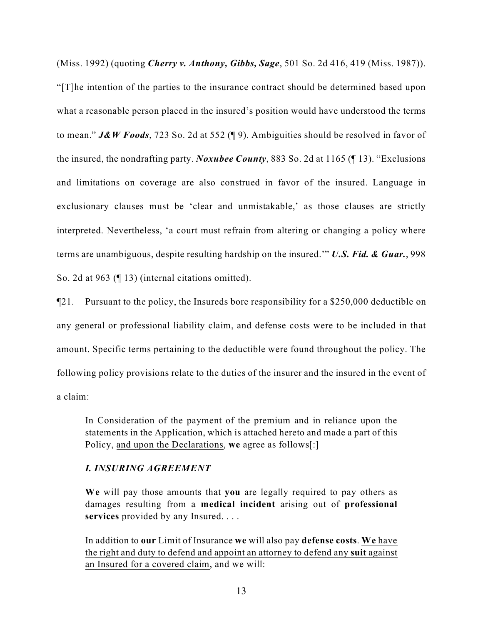(Miss. 1992) (quoting *Cherry v. Anthony, Gibbs, Sage*, 501 So. 2d 416, 419 (Miss. 1987)). "[T]he intention of the parties to the insurance contract should be determined based upon what a reasonable person placed in the insured's position would have understood the terms to mean." *J&W Foods*, 723 So. 2d at 552 (¶ 9). Ambiguities should be resolved in favor of the insured, the nondrafting party. *Noxubee County*, 883 So. 2d at 1165 (¶ 13). "Exclusions and limitations on coverage are also construed in favor of the insured. Language in exclusionary clauses must be 'clear and unmistakable,' as those clauses are strictly interpreted. Nevertheless, 'a court must refrain from altering or changing a policy where terms are unambiguous, despite resulting hardship on the insured.'" *U.S. Fid. & Guar.*, 998 So. 2d at 963 (¶ 13) (internal citations omitted).

¶21. Pursuant to the policy, the Insureds bore responsibility for a \$250,000 deductible on any general or professional liability claim, and defense costs were to be included in that amount. Specific terms pertaining to the deductible were found throughout the policy. The following policy provisions relate to the duties of the insurer and the insured in the event of a claim:

In Consideration of the payment of the premium and in reliance upon the statements in the Application, which is attached hereto and made a part of this Policy, and upon the Declarations, **we** agree as follows[:]

## *I. INSURING AGREEMENT*

**We** will pay those amounts that **you** are legally required to pay others as damages resulting from a **medical incident** arising out of **professional services** provided by any Insured. . . .

In addition to **our** Limit of Insurance **we** will also pay **defense costs**. **We** have the right and duty to defend and appoint an attorney to defend any **suit** against an Insured for a covered claim, and we will: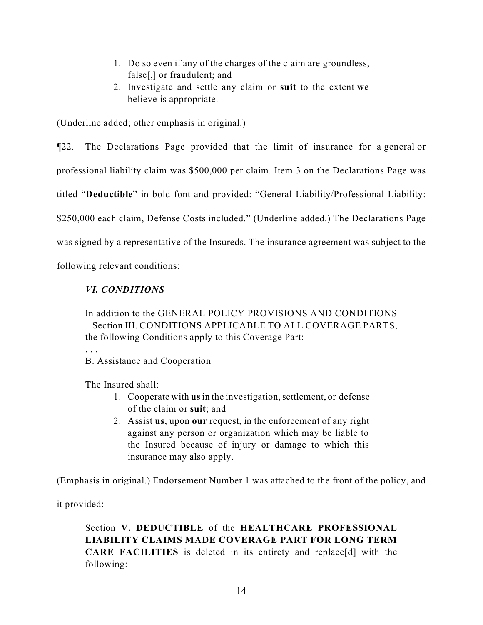- 1. Do so even if any of the charges of the claim are groundless, false[,] or fraudulent; and
- 2. Investigate and settle any claim or **suit** to the extent **we** believe is appropriate.

(Underline added; other emphasis in original.)

¶22. The Declarations Page provided that the limit of insurance for a general or

professional liability claim was \$500,000 per claim. Item 3 on the Declarations Page was

titled "**Deductible**" in bold font and provided: "General Liability/Professional Liability:

\$250,000 each claim, Defense Costs included." (Underline added.) The Declarations Page

was signed by a representative of the Insureds. The insurance agreement was subject to the

following relevant conditions:

# *VI. CONDITIONS*

In addition to the GENERAL POLICY PROVISIONS AND CONDITIONS – Section III. CONDITIONS APPLICABLE TO ALL COVERAGE PARTS, the following Conditions apply to this Coverage Part:

. . .

B. Assistance and Cooperation

The Insured shall:

- 1. Cooperate with **us** in the investigation, settlement, or defense of the claim or **suit**; and
- 2. Assist **us**, upon **our** request, in the enforcement of any right against any person or organization which may be liable to the Insured because of injury or damage to which this insurance may also apply.

(Emphasis in original.) Endorsement Number 1 was attached to the front of the policy, and

it provided:

Section **V. DEDUCTIBLE** of the **HEALTHCARE PROFESSIONAL LIABILITY CLAIMS MADE COVERAGE PART FOR LONG TERM CARE FACILITIES** is deleted in its entirety and replace[d] with the following: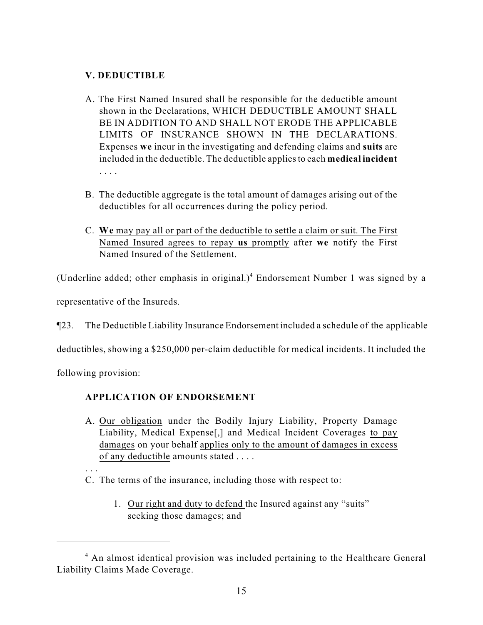# **V. DEDUCTIBLE**

- A. The First Named Insured shall be responsible for the deductible amount shown in the Declarations, WHICH DEDUCTIBLE AMOUNT SHALL BE IN ADDITION TO AND SHALL NOT ERODE THE APPLICABLE LIMITS OF INSURANCE SHOWN IN THE DECLARATIONS. Expenses **we** incur in the investigating and defending claims and **suits** are included in the deductible. The deductible applies to each **medical incident** . . . .
- B. The deductible aggregate is the total amount of damages arising out of the deductibles for all occurrences during the policy period.
- C. **We** may pay all or part of the deductible to settle a claim or suit. The First Named Insured agrees to repay **us** promptly after **we** notify the First Named Insured of the Settlement.

(Underline added; other emphasis in original.)<sup>4</sup> Endorsement Number 1 was signed by a

representative of the Insureds.

¶23. The Deductible Liability Insurance Endorsement included a schedule of the applicable

deductibles, showing a \$250,000 per-claim deductible for medical incidents. It included the

following provision:

# **APPLICATION OF ENDORSEMENT**

- A. Our obligation under the Bodily Injury Liability, Property Damage Liability, Medical Expense[,] and Medical Incident Coverages to pay damages on your behalf applies only to the amount of damages in excess of any deductible amounts stated . . . .
- . . .

C. The terms of the insurance, including those with respect to:

1. Our right and duty to defend the Insured against any "suits" seeking those damages; and

<sup>&</sup>lt;sup>4</sup> An almost identical provision was included pertaining to the Healthcare General Liability Claims Made Coverage.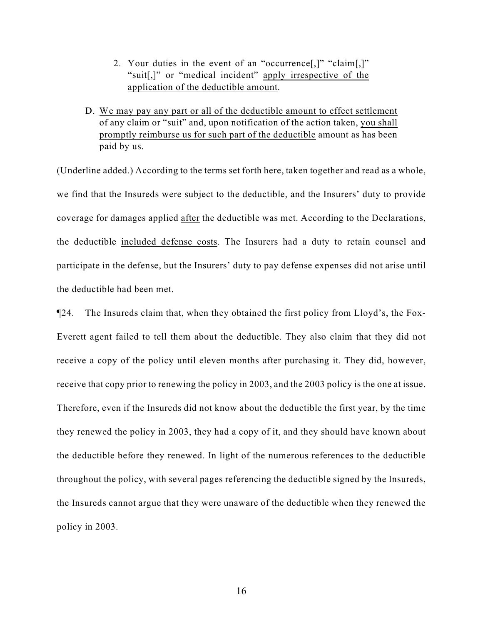- 2. Your duties in the event of an "occurrence[,]" "claim[,]" "suit[,]" or "medical incident" apply irrespective of the application of the deductible amount.
- D. We may pay any part or all of the deductible amount to effect settlement of any claim or "suit" and, upon notification of the action taken, you shall promptly reimburse us for such part of the deductible amount as has been paid by us.

(Underline added.) According to the terms set forth here, taken together and read as a whole, we find that the Insureds were subject to the deductible, and the Insurers' duty to provide coverage for damages applied after the deductible was met. According to the Declarations, the deductible included defense costs. The Insurers had a duty to retain counsel and participate in the defense, but the Insurers' duty to pay defense expenses did not arise until the deductible had been met.

¶24. The Insureds claim that, when they obtained the first policy from Lloyd's, the Fox-Everett agent failed to tell them about the deductible. They also claim that they did not receive a copy of the policy until eleven months after purchasing it. They did, however, receive that copy prior to renewing the policy in 2003, and the 2003 policy is the one at issue. Therefore, even if the Insureds did not know about the deductible the first year, by the time they renewed the policy in 2003, they had a copy of it, and they should have known about the deductible before they renewed. In light of the numerous references to the deductible throughout the policy, with several pages referencing the deductible signed by the Insureds, the Insureds cannot argue that they were unaware of the deductible when they renewed the policy in 2003.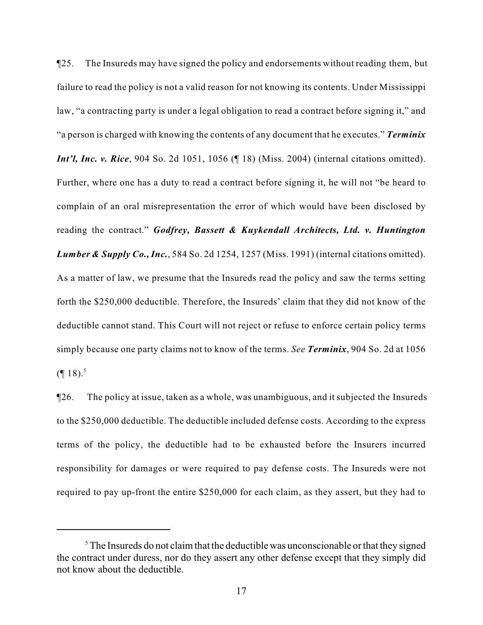¶25. The Insureds may have signed the policy and endorsements without reading them, but failure to read the policy is not a valid reason for not knowing its contents. Under Mississippi law, "a contracting party is under a legal obligation to read a contract before signing it," and "a person is charged with knowing the contents of any document that he executes." *Terminix Int'l, Inc. v. Rice*, 904 So. 2d 1051, 1056 (¶ 18) (Miss. 2004) (internal citations omitted). Further, where one has a duty to read a contract before signing it, he will not "be heard to complain of an oral misrepresentation the error of which would have been disclosed by reading the contract." *Godfrey, Bassett & Kuykendall Architects, Ltd. v. Huntington Lumber & Supply Co., Inc.*, 584 So. 2d 1254, 1257 (Miss. 1991) (internal citations omitted). As a matter of law, we presume that the Insureds read the policy and saw the terms setting forth the \$250,000 deductible. Therefore, the Insureds' claim that they did not know of the deductible cannot stand. This Court will not reject or refuse to enforce certain policy terms simply because one party claims not to know of the terms. *See Terminix*, 904 So. 2d at 1056  $($ [ 18).<sup>5</sup>

¶26. The policy at issue, taken as a whole, was unambiguous, and it subjected the Insureds to the \$250,000 deductible. The deductible included defense costs. According to the express terms of the policy, the deductible had to be exhausted before the Insurers incurred responsibility for damages or were required to pay defense costs. The Insureds were not required to pay up-front the entire \$250,000 for each claim, as they assert, but they had to

 $5$  The Insureds do not claim that the deductible was unconscionable or that they signed the contract under duress, nor do they assert any other defense except that they simply did not know about the deductible.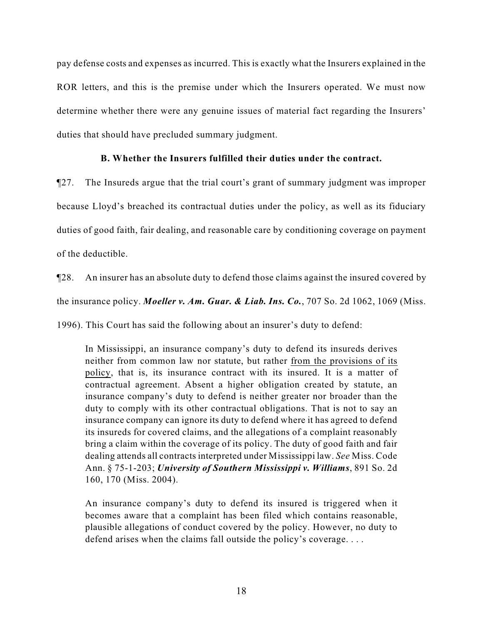pay defense costs and expenses as incurred. This is exactly what the Insurers explained in the ROR letters, and this is the premise under which the Insurers operated. We must now determine whether there were any genuine issues of material fact regarding the Insurers' duties that should have precluded summary judgment.

## **B. Whether the Insurers fulfilled their duties under the contract.**

¶27. The Insureds argue that the trial court's grant of summary judgment was improper because Lloyd's breached its contractual duties under the policy, as well as its fiduciary duties of good faith, fair dealing, and reasonable care by conditioning coverage on payment of the deductible.

¶28. An insurer has an absolute duty to defend those claims against the insured covered by

the insurance policy. *Moeller v. Am. Guar. & Liab. Ins. Co.*, 707 So. 2d 1062, 1069 (Miss.

1996). This Court has said the following about an insurer's duty to defend:

In Mississippi, an insurance company's duty to defend its insureds derives neither from common law nor statute, but rather from the provisions of its policy, that is, its insurance contract with its insured. It is a matter of contractual agreement. Absent a higher obligation created by statute, an insurance company's duty to defend is neither greater nor broader than the duty to comply with its other contractual obligations. That is not to say an insurance company can ignore its duty to defend where it has agreed to defend its insureds for covered claims, and the allegations of a complaint reasonably bring a claim within the coverage of its policy. The duty of good faith and fair dealing attends all contracts interpreted under Mississippi law. *See* Miss. Code Ann. § 75-1-203; *University of Southern Mississippi v. Williams*, 891 So. 2d 160, 170 (Miss. 2004).

An insurance company's duty to defend its insured is triggered when it becomes aware that a complaint has been filed which contains reasonable, plausible allegations of conduct covered by the policy. However, no duty to defend arises when the claims fall outside the policy's coverage. . . .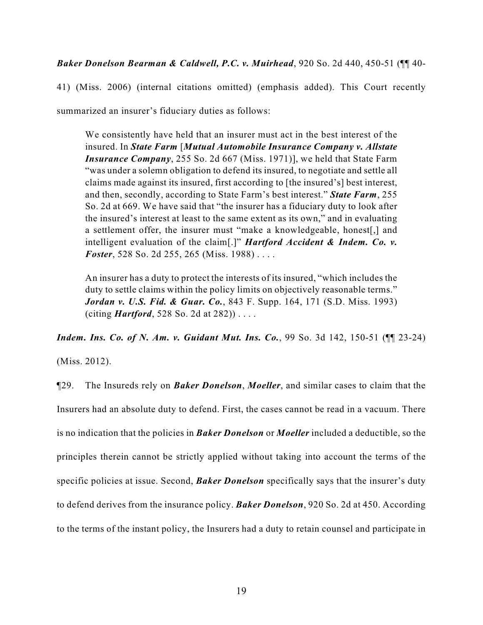*Baker Donelson Bearman & Caldwell, P.C. v. Muirhead*, 920 So. 2d 440, 450-51 (¶¶ 40-

41) (Miss. 2006) (internal citations omitted) (emphasis added). This Court recently

summarized an insurer's fiduciary duties as follows:

We consistently have held that an insurer must act in the best interest of the insured. In *State Farm* [*Mutual Automobile Insurance Company v. Allstate Insurance Company*, 255 So. 2d 667 (Miss. 1971)], we held that State Farm "was under a solemn obligation to defend its insured, to negotiate and settle all claims made against its insured, first according to [the insured's] best interest, and then, secondly, according to State Farm's best interest." *State Farm*, 255 So. 2d at 669. We have said that "the insurer has a fiduciary duty to look after the insured's interest at least to the same extent as its own," and in evaluating a settlement offer, the insurer must "make a knowledgeable, honest[,] and intelligent evaluation of the claim[.]" *Hartford Accident & Indem. Co. v. Foster*, 528 So. 2d 255, 265 (Miss. 1988) . . . .

An insurer has a duty to protect the interests of its insured, "which includes the duty to settle claims within the policy limits on objectively reasonable terms." *Jordan v. U.S. Fid. & Guar. Co.*, 843 F. Supp. 164, 171 (S.D. Miss. 1993) (citing *Hartford*, 528 So. 2d at 282)) . . . .

*Indem. Ins. Co. of N. Am. v. Guidant Mut. Ins. Co.*, 99 So. 3d 142, 150-51 ( $\P$  23-24)

(Miss. 2012).

¶29. The Insureds rely on *Baker Donelson*, *Moeller*, and similar cases to claim that the Insurers had an absolute duty to defend. First, the cases cannot be read in a vacuum. There is no indication that the policies in *Baker Donelson* or *Moeller* included a deductible, so the principles therein cannot be strictly applied without taking into account the terms of the specific policies at issue. Second, *Baker Donelson* specifically says that the insurer's duty to defend derives from the insurance policy. *Baker Donelson*, 920 So. 2d at 450. According to the terms of the instant policy, the Insurers had a duty to retain counsel and participate in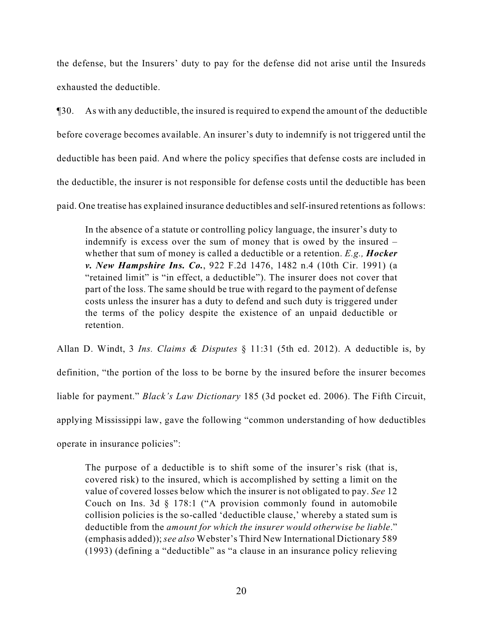the defense, but the Insurers' duty to pay for the defense did not arise until the Insureds exhausted the deductible.

¶30. As with any deductible, the insured is required to expend the amount of the deductible before coverage becomes available. An insurer's duty to indemnify is not triggered until the deductible has been paid. And where the policy specifies that defense costs are included in the deductible, the insurer is not responsible for defense costs until the deductible has been paid. One treatise has explained insurance deductibles and self-insured retentions as follows:

In the absence of a statute or controlling policy language, the insurer's duty to indemnify is excess over the sum of money that is owed by the insured – whether that sum of money is called a deductible or a retention. *E.g., Hocker v. New Hampshire Ins. Co.*, 922 F.2d 1476, 1482 n.4 (10th Cir. 1991) (a "retained limit" is "in effect, a deductible"). The insurer does not cover that part of the loss. The same should be true with regard to the payment of defense costs unless the insurer has a duty to defend and such duty is triggered under the terms of the policy despite the existence of an unpaid deductible or retention.

Allan D. Windt, 3 *Ins. Claims & Disputes* § 11:31 (5th ed. 2012). A deductible is, by

definition, "the portion of the loss to be borne by the insured before the insurer becomes

liable for payment." *Black's Law Dictionary* 185 (3d pocket ed. 2006). The Fifth Circuit,

applying Mississippi law, gave the following "common understanding of how deductibles

operate in insurance policies":

The purpose of a deductible is to shift some of the insurer's risk (that is, covered risk) to the insured, which is accomplished by setting a limit on the value of covered losses below which the insurer is not obligated to pay. *See* 12 Couch on Ins. 3d § 178:1 ("A provision commonly found in automobile collision policies is the so-called 'deductible clause,' whereby a stated sum is deductible from the *amount for which the insurer would otherwise be liable*." (emphasis added)); *see also* Webster's Third New International Dictionary 589 (1993) (defining a "deductible" as "a clause in an insurance policy relieving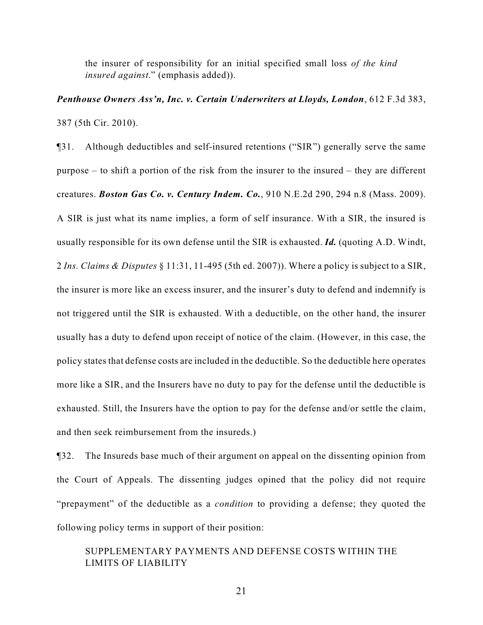the insurer of responsibility for an initial specified small loss *of the kind insured against*." (emphasis added)).

*Penthouse Owners Ass'n, Inc. v. Certain Underwriters at Lloyds, London*, 612 F.3d 383, 387 (5th Cir. 2010).

¶31. Although deductibles and self-insured retentions ("SIR") generally serve the same purpose – to shift a portion of the risk from the insurer to the insured – they are different creatures. *Boston Gas Co. v. Century Indem. Co.*, 910 N.E.2d 290, 294 n.8 (Mass. 2009). A SIR is just what its name implies, a form of self insurance. With a SIR, the insured is usually responsible for its own defense until the SIR is exhausted. *Id.* (quoting A.D. Windt, 2 *Ins. Claims & Disputes* § 11:31, 11-495 (5th ed. 2007)). Where a policy is subject to a SIR, the insurer is more like an excess insurer, and the insurer's duty to defend and indemnify is not triggered until the SIR is exhausted. With a deductible, on the other hand, the insurer usually has a duty to defend upon receipt of notice of the claim. (However, in this case, the policy states that defense costs are included in the deductible. So the deductible here operates more like a SIR, and the Insurers have no duty to pay for the defense until the deductible is exhausted. Still, the Insurers have the option to pay for the defense and/or settle the claim, and then seek reimbursement from the insureds.)

¶32. The Insureds base much of their argument on appeal on the dissenting opinion from the Court of Appeals. The dissenting judges opined that the policy did not require "prepayment" of the deductible as a *condition* to providing a defense; they quoted the following policy terms in support of their position:

# SUPPLEMENTARY PAYMENTS AND DEFENSE COSTS WITHIN THE LIMITS OF LIABILITY

21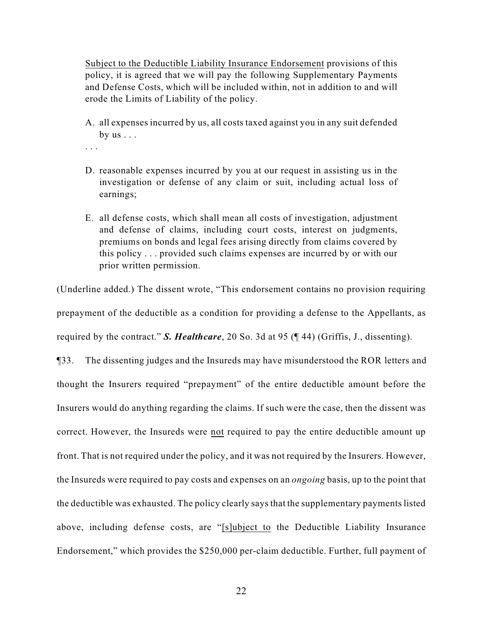Subject to the Deductible Liability Insurance Endorsement provisions of this policy, it is agreed that we will pay the following Supplementary Payments and Defense Costs, which will be included within, not in addition to and will erode the Limits of Liability of the policy.

A. all expenses incurred by us, all costs taxed against you in any suit defended by  $us \ldots$ 

. . .

- D. reasonable expenses incurred by you at our request in assisting us in the investigation or defense of any claim or suit, including actual loss of earnings;
- E. all defense costs, which shall mean all costs of investigation, adjustment and defense of claims, including court costs, interest on judgments, premiums on bonds and legal fees arising directly from claims covered by this policy . . . provided such claims expenses are incurred by or with our prior written permission.

(Underline added.) The dissent wrote, "This endorsement contains no provision requiring prepayment of the deductible as a condition for providing a defense to the Appellants, as required by the contract." *S. Healthcare*, 20 So. 3d at 95 (¶ 44) (Griffis, J., dissenting). ¶33. The dissenting judges and the Insureds may have misunderstood the ROR letters and thought the Insurers required "prepayment" of the entire deductible amount before the Insurers would do anything regarding the claims. If such were the case, then the dissent was correct. However, the Insureds were not required to pay the entire deductible amount up front. That is not required under the policy, and it was not required by the Insurers. However, the Insureds were required to pay costs and expenses on an *ongoing* basis, up to the point that the deductible was exhausted. The policy clearly says that the supplementary payments listed above, including defense costs, are "[s]ubject to the Deductible Liability Insurance Endorsement," which provides the \$250,000 per-claim deductible. Further, full payment of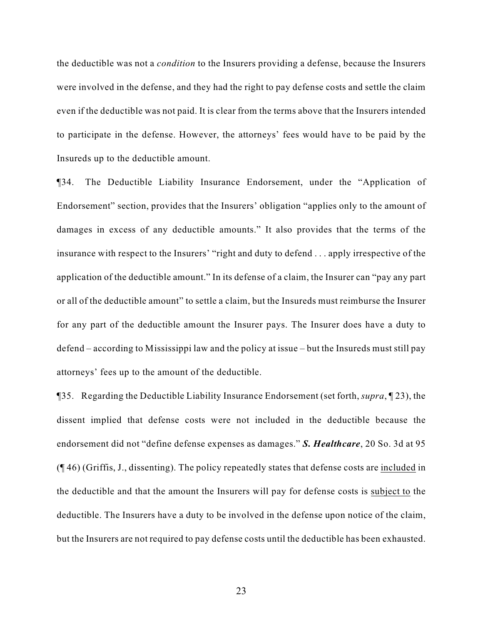the deductible was not a *condition* to the Insurers providing a defense, because the Insurers were involved in the defense, and they had the right to pay defense costs and settle the claim even if the deductible was not paid. It is clear from the terms above that the Insurers intended to participate in the defense. However, the attorneys' fees would have to be paid by the Insureds up to the deductible amount.

¶34. The Deductible Liability Insurance Endorsement, under the "Application of Endorsement" section, provides that the Insurers' obligation "applies only to the amount of damages in excess of any deductible amounts." It also provides that the terms of the insurance with respect to the Insurers' "right and duty to defend . . . apply irrespective of the application of the deductible amount." In its defense of a claim, the Insurer can "pay any part or all of the deductible amount" to settle a claim, but the Insureds must reimburse the Insurer for any part of the deductible amount the Insurer pays. The Insurer does have a duty to defend – according to Mississippi law and the policy at issue – but the Insureds must still pay attorneys' fees up to the amount of the deductible.

¶35. Regarding the Deductible Liability Insurance Endorsement (set forth, *supra*, ¶ 23), the dissent implied that defense costs were not included in the deductible because the endorsement did not "define defense expenses as damages." *S. Healthcare*, 20 So. 3d at 95 (¶ 46) (Griffis, J., dissenting). The policy repeatedly states that defense costs are included in the deductible and that the amount the Insurers will pay for defense costs is subject to the deductible. The Insurers have a duty to be involved in the defense upon notice of the claim, but the Insurers are not required to pay defense costs until the deductible has been exhausted.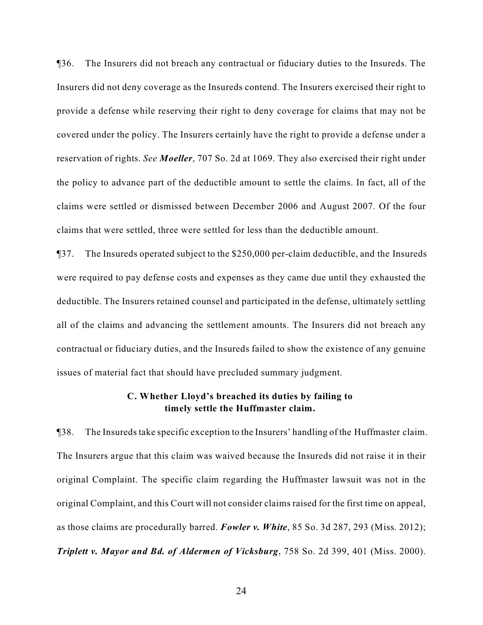¶36. The Insurers did not breach any contractual or fiduciary duties to the Insureds. The Insurers did not deny coverage as the Insureds contend. The Insurers exercised their right to provide a defense while reserving their right to deny coverage for claims that may not be covered under the policy. The Insurers certainly have the right to provide a defense under a reservation of rights. *See Moeller*, 707 So. 2d at 1069. They also exercised their right under the policy to advance part of the deductible amount to settle the claims. In fact, all of the claims were settled or dismissed between December 2006 and August 2007. Of the four claims that were settled, three were settled for less than the deductible amount.

¶37. The Insureds operated subject to the \$250,000 per-claim deductible, and the Insureds were required to pay defense costs and expenses as they came due until they exhausted the deductible. The Insurers retained counsel and participated in the defense, ultimately settling all of the claims and advancing the settlement amounts. The Insurers did not breach any contractual or fiduciary duties, and the Insureds failed to show the existence of any genuine issues of material fact that should have precluded summary judgment.

## **C. Whether Lloyd's breached its duties by failing to timely settle the Huffmaster claim.**

¶38. The Insureds take specific exception to the Insurers' handling of the Huffmaster claim. The Insurers argue that this claim was waived because the Insureds did not raise it in their original Complaint. The specific claim regarding the Huffmaster lawsuit was not in the original Complaint, and this Court will not consider claims raised for the first time on appeal, as those claims are procedurally barred. *Fowler v. White*, 85 So. 3d 287, 293 (Miss. 2012); *Triplett v. Mayor and Bd. of Aldermen of Vicksburg*, 758 So. 2d 399, 401 (Miss. 2000).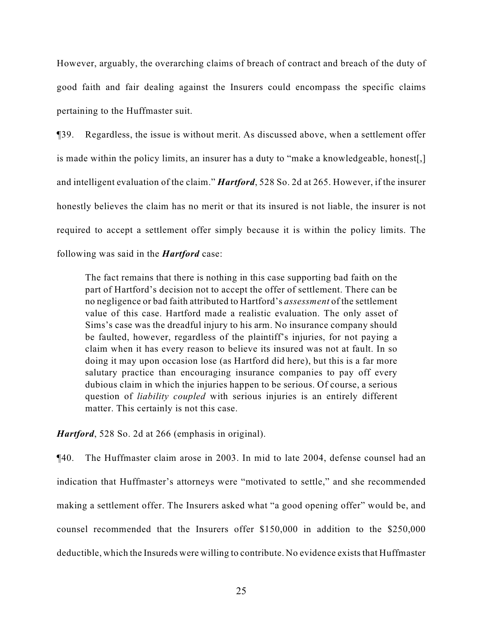However, arguably, the overarching claims of breach of contract and breach of the duty of good faith and fair dealing against the Insurers could encompass the specific claims pertaining to the Huffmaster suit.

¶39. Regardless, the issue is without merit. As discussed above, when a settlement offer is made within the policy limits, an insurer has a duty to "make a knowledgeable, honest[,] and intelligent evaluation of the claim." *Hartford*, 528 So. 2d at 265. However, if the insurer honestly believes the claim has no merit or that its insured is not liable, the insurer is not required to accept a settlement offer simply because it is within the policy limits. The following was said in the *Hartford* case:

The fact remains that there is nothing in this case supporting bad faith on the part of Hartford's decision not to accept the offer of settlement. There can be no negligence or bad faith attributed to Hartford's *assessment* of the settlement value of this case. Hartford made a realistic evaluation. The only asset of Sims's case was the dreadful injury to his arm. No insurance company should be faulted, however, regardless of the plaintiff's injuries, for not paying a claim when it has every reason to believe its insured was not at fault. In so doing it may upon occasion lose (as Hartford did here), but this is a far more salutary practice than encouraging insurance companies to pay off every dubious claim in which the injuries happen to be serious. Of course, a serious question of *liability coupled* with serious injuries is an entirely different matter. This certainly is not this case.

*Hartford*, 528 So. 2d at 266 (emphasis in original).

¶40. The Huffmaster claim arose in 2003. In mid to late 2004, defense counsel had an indication that Huffmaster's attorneys were "motivated to settle," and she recommended making a settlement offer. The Insurers asked what "a good opening offer" would be, and counsel recommended that the Insurers offer \$150,000 in addition to the \$250,000 deductible, which the Insureds were willing to contribute. No evidence exists that Huffmaster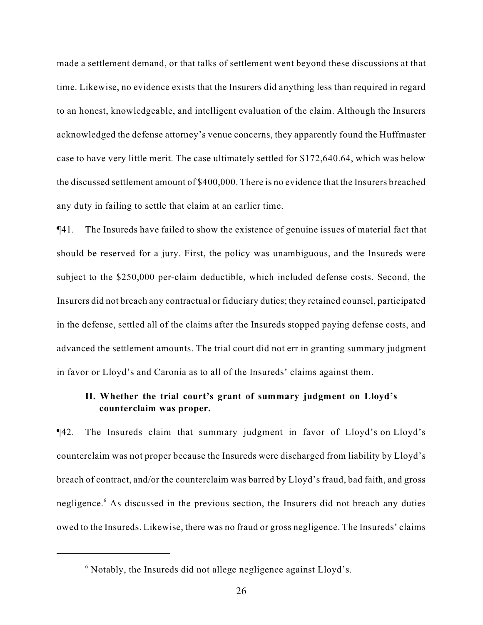made a settlement demand, or that talks of settlement went beyond these discussions at that time. Likewise, no evidence exists that the Insurers did anything less than required in regard to an honest, knowledgeable, and intelligent evaluation of the claim. Although the Insurers acknowledged the defense attorney's venue concerns, they apparently found the Huffmaster case to have very little merit. The case ultimately settled for \$172,640.64, which was below the discussed settlement amount of \$400,000. There is no evidence that the Insurers breached any duty in failing to settle that claim at an earlier time.

¶41. The Insureds have failed to show the existence of genuine issues of material fact that should be reserved for a jury. First, the policy was unambiguous, and the Insureds were subject to the \$250,000 per-claim deductible, which included defense costs. Second, the Insurers did not breach any contractual or fiduciary duties; they retained counsel, participated in the defense, settled all of the claims after the Insureds stopped paying defense costs, and advanced the settlement amounts. The trial court did not err in granting summary judgment in favor or Lloyd's and Caronia as to all of the Insureds' claims against them.

# **II. Whether the trial court's grant of summary judgment on Lloyd's counterclaim was proper.**

¶42. The Insureds claim that summary judgment in favor of Lloyd's on Lloyd's counterclaim was not proper because the Insureds were discharged from liability by Lloyd's breach of contract, and/or the counterclaim was barred by Lloyd's fraud, bad faith, and gross negligence.<sup>6</sup> As discussed in the previous section, the Insurers did not breach any duties owed to the Insureds. Likewise, there was no fraud or gross negligence. The Insureds' claims

 $\delta$  Notably, the Insureds did not allege negligence against Lloyd's.